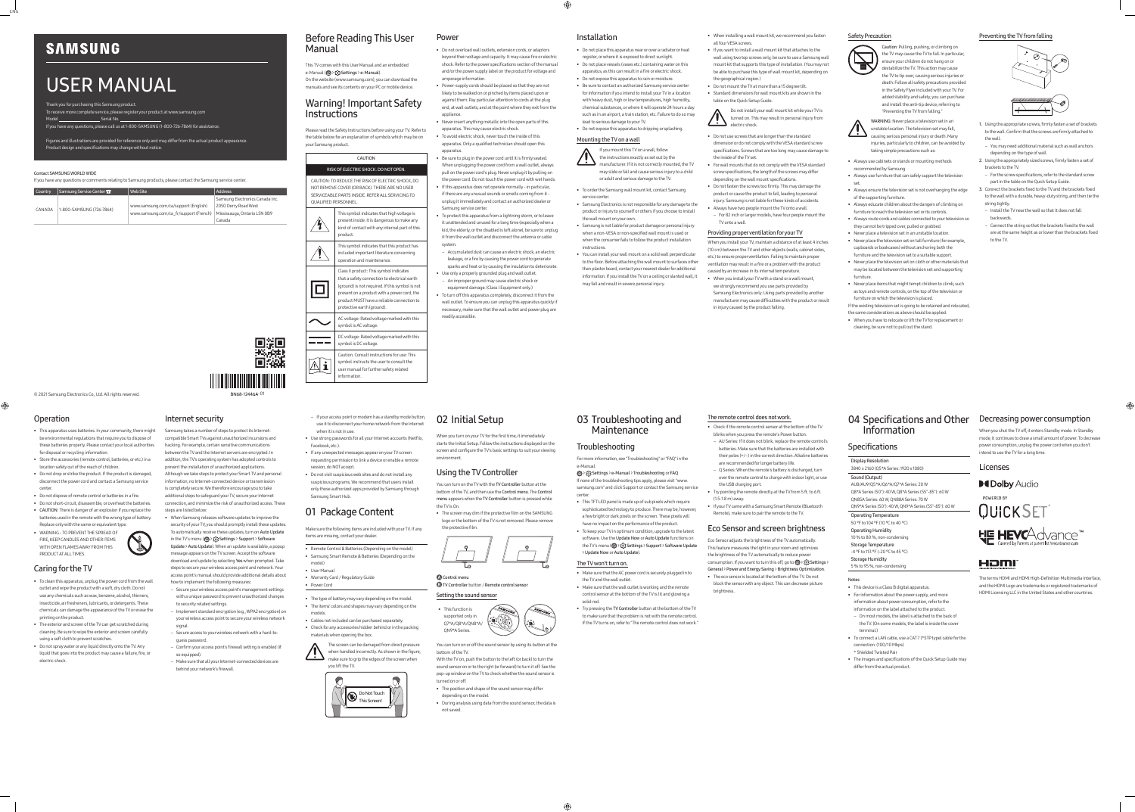### © 2021 Samsung Electronics Co., Ltd. All rights reserved.

Thank you for purchasing this Samsung product. To receive more complete service, please register your product at www.samsung.com Model Serial No.

## USER MANUAL

If you have any questions, please call us at 1-800-SAMSUNG (1-800-726-7864) for assistance.

Figures and illustrations are provided for reference only and may differ from the actual product appearance.

Product design and specifications may change without notice.

#### Contact SAMSUNG WORLD WIDE

If you have any questions or comments relating to Samsung products, please contact the Samsung service center.

| <b>Country</b> | Samsung Service Center 2 | Web Site                               | Address                         |
|----------------|--------------------------|----------------------------------------|---------------------------------|
| CANADA         | 1-800-SAMSUNG (726-7864) |                                        | Samsung Electronics Canada Inc. |
|                |                          | www.samsung.com/ca/support (English)   | 2050 Derry Road West            |
|                |                          | www.samsung.com/ca fr/support (French) | Mississauga, Ontario L5N 0B9    |
|                |                          |                                        | Canada                          |

### Before Reading This User Manual

This TV comes with this User Manual and an embedded e-Manual (@> {  $\odot$  > {  $\odot$  Settings > e-Manual). On the website (www.samsung.com), you can download the manuals and see its contents on your PC or mobile device.

### Warning! Important Safety Instructions

Please read the Safety Instructions before using your TV. Refer to the table below for an explanation of symbols which may be on your Samsung product.

CAUTION

### RISK OF ELECTRIC SHOCK. DO NOT OPEN.

CAUTION: TO REDUCE THE RISK OF ELECTRIC SHOCK, DO NOT REMOVE COVER (OR BACK). THERE ARE NO USER SERVICEABLE PARTS INSIDE. REFER ALL SERVICING TO QUALIFIED PERSONNEL.

| This symbol indicates that high voltage is<br>present inside. It is dangerous to make any<br>kind of contact with any internal part of this<br>product.                                                                                                               |
|-----------------------------------------------------------------------------------------------------------------------------------------------------------------------------------------------------------------------------------------------------------------------|
| This symbol indicates that this product has<br>included important literature concerning<br>operation and maintenance.                                                                                                                                                 |
| Class II product: This symbol indicates<br>that a safety connection to electrical earth<br>(ground) is not required. If this symbol is not<br>present on a product with a power cord, the<br>product MUST have a reliable connection to<br>protective earth (ground). |
| AC voltage: Rated voltage marked with this<br>symbol is AC voltage.                                                                                                                                                                                                   |
| DC voltage: Rated voltage marked with this<br>symbol is DC voltage.                                                                                                                                                                                                   |
| Caution. Consult instructions for use: This<br>symbol instructs the user to consult the<br>user manual for further safety related                                                                                                                                     |

user manual for further safety related information.

# Power

- Do not overload wall outlets, extension cords, or adaptors beyond their voltage and capacity. It may cause fire or electric shock. Refer to the power specifications section of the manual and/or the power supply label on the product for voltage and amperage information.
- Power-supply cords should be placed so that they are not likely to be walked on or pinched by items placed upon or against them. Pay particular attention to cords at the plug end, at wall outlets, and at the point where they exit from the appliance.
- Never insert anything metallic into the open parts of this apparatus. This may cause electric shock.
- To avoid electric shock, never touch the inside of this apparatus. Only a qualified technician should open this apparatus.
- Be sure to plug in the power cord until it is firmly seated. When unplugging the power cord from a wall outlet, always pull on the power cord's plug. Never unplug it by pulling on the power cord. Do not touch the power cord with wet hands. • If this apparatus does not operate normally - in particular,
- if there are any unusual sounds or smells coming from it unplug it immediately and contact an authorized dealer or Samsung service center
- To protect this apparatus from a lightning storm, or to leave it unattended and unused for a long time (especially when a kid, the elderly, or the disabled is left alone), be sure to unplug it from the wall outlet and disconnect the antenna or cable system.
- Accumulated dust can cause an electric shock, an electric leakage, or a fire by causing the power cord to generate sparks and heat or by causing the insulation to deteriorate.
- Use only a properly grounded plug and wall outlet. – An improper ground may cause electric shock or equipment damage. (Class l Equipment only.)
- To turn off this apparatus completely, disconnect it from the wall outlet. To ensure you can unplug this apparatus quickly if necessary, make sure that the wall outlet and power plug are readily accessible.

### Installation

• Do not place this apparatus near or over a radiator or heat register, or where it is exposed to direct sunlight. • Do not place vessels (vases etc.) containing water on this apparatus, as this can result in a fire or electric shock.

• Do not expose this apparatus to rain or moisture. • Be sure to contact an authorized Samsung service center for information if you intend to install your TV in a location with heavy dust, high or low temperatures, high humidity, chemical substances, or where it will operate 24 hours a day such as in an airport, a train station, etc. Failure to do so may

- 1. Using the appropriate screws, firmly fasten a set of brackets to the wall. Confirm that the screws are firmly attached to the wall.
- You may need additional material such as wall anchors depending on the type of wall.
- 2. Using the appropriately sized screws, firmly fasten a set of brackets to the TV.
- For the screw specifications, refer to the standard screw part in the table on the Quick Setup Guide.
- 3. Connect the brackets fixed to the TV and the brackets fixed to the wall with a durable, heavy-duty string, and then tie the string tightly.
- Install the TV near the wall so that it does not fall backwards.
- Connect the string so that the brackets fixed to the wall are at the same height as or lower than the brackets fixed to the TV

lead to serious damage to your TV. • Do not expose this apparatus to dripping or splashing.

#### Mounting the TV on a wall

If you mount this TV on a wall, follow the instructions exactly as set out by the

manufacturer. If it is not correctly mounted, the TV may slide or fall and cause serious injury to a child or adult and serious damage to the TV.

### • To order the Samsung wall mount kit, contact Samsung

- service center. • Samsung Electronics is not responsible for any damage to the product or injury to yourself or others if you choose to install the wall mount on your own.
- Samsung is not liable for product damage or personal injury when a non-VESA or non-specified wall mount is used or when the consumer fails to follow the product installation instructions.

• You can install your wall mount on a solid wall perpendicular to the floor. Before attaching the wall mount to surfaces other than plaster board, contact your nearest dealer for additional information. If you install the TV on a ceiling or slanted wall, it may fall and result in severe personal injury.

### • When installing a wall mount kit, we recommend you fasten

all four VESA screws

• If you want to install a wall mount kit that attaches to the wall using two top screws only, be sure to use a Samsung wall mount kit that supports this type of installation. (You may not be able to purchase this type of wall mount kit, depending on

the geographical region.)

• Do not mount the TV at more than a 15 degree tilt. • Standard dimensions for wall mount kits are shown in the

table on the Quick Setup Guide.

Do not install your wall mount kit while your TV is turned on. This may result in personal injury from

electric shock.

• Do not use screws that are longer than the standard dimension or do not comply with the VESA standard screw specifications. Screws that are too long may cause damage to

the inside of the TV set.

• For wall mounts that do not comply with the VESA standard screw specifications, the length of the screws may differ depending on the wall mount specifications. • Do not fasten the screws too firmly. This may damage the product or cause the product to fall, leading to personal injury. Samsung is not liable for these kinds of accidents. • Always have two people mount the TV onto a wall. – For 82 inch or larger models, have four people mount the



TV onto a wall.

Providing proper ventilation for your TV

When you install your TV, maintain a distance of at least 4 inches (10 cm) between the TV and other objects (walls, cabinet sides, etc.) to ensure proper ventilation. Failing to maintain proper ventilation may result in a fire or a problem with the product caused by an increase in its internal temperature. • When you install your TV with a stand or a wall mount, we strongly recommend you use parts provided by Samsung Electronics only. Using parts provided by another manufacturer may cause difficulties with the product or result

in injury caused by the product falling.

Safety Precaution

Caution: Pulling, pushing, or climbing on the TV may cause the TV to fall. In particular, ensure your children do not hang on or destabilize the TV. This action may cause the TV to tip over, causing serious injuries or

With the TV on, push the button to the left (or back) to turn the sound sensor on or to the right (or forward) to turn it off. See the pop-up window on the TV to check whether the sound sensor is turned on or off.

### 03 Troubleshooting and **Maintenance**

death. Follow all safety precautions provided in the Safety Flyer included with your TV. For added stability and safety, you can purchase and install the anti-tip device, referring to "Preventing the TV from falling." WARNING: Never place a television set in an

unstable location. The television set may fall, causing serious personal injury or death. Many injuries, particularly to children, can be avoided by taking simple precautions such as:

- Always use cabinets or stands or mounting methods
- recommended by Samsung. • Always use furniture that can safely support the television
- set. • Always ensure the television set is not overhanging the edge of the supporting furniture.
- Always educate children about the dangers of climbing on furniture to reach the television set or its control:
- Always route cords and cables connected to your television so they cannot be tripped over, pulled or grabbed.
- Never place a television set in an unstable location. • Never place the television set on tall furniture (for example, cupboards or bookcases) without anchoring both the
- furniture and the television set to a suitable support. • Never place the television set on cloth or other materials that may be located between the television set and supporting
- furniture. • Never place items that might tempt children to climb, such as toys and remote controls, on the top of the television or
- furniture on which the television is placed. If the existing television set is going to be retained and relocated,
- the same considerations as above should be applied. • When you have to relocate or lift the TV for replacement or
- cleaning, be sure not to pull out the stand.

#### Preventing the TV from falling



#### Operation

 $\bigoplus$ 

- This apparatus uses batteries. In your community, there might be environmental regulations that require you to dispose of these batteries properly. Please contact your local authorities for disposal or recycling information.
- Store the accessories (remote control, batteries, or etc.) in a location safely out of the reach of children.
- Do not drop or strike the product. If the product is damaged, disconnect the power cord and contact a Samsung service center.
- Do not dispose of remote control or batteries in a fire.
- Do not short-circuit, disassemble, or overheat the batteries. • CAUTION: There is danger of an explosion if you replace the batteries used in the remote with the wrong type of battery.
- Replace only with the same or equivalent type. • WARNING - TO PREVENT THE SPREAD OF FIRE, KEEP CANDLES AND OTHER ITEMS WITH OPEN FLAMES AWAY FROM THIS



PRODUCT AT ALL TIMES.

#### Caring for the TV

- To clean this apparatus, unplug the power cord from the wall  $\nu$ ith a soft, dry cloth. Do n use any chemicals such as wax, benzene, alcohol, thinners, insecticide, air fresheners, lubricants, or detergents. These chemicals can damage the appearance of the TV or erase the printing on the product.
- The exterior and screen of the TV can get scratched during cleaning. Be sure to wipe the exterior and screen carefully using a soft cloth to prevent scratches.
- Do not spray water or any liquid directly onto the TV. Any liquid that goes into the product may cause a failure, fire, or electric shock.

3N68-12446A-01

回線<br>普羅

### Internet security

Samsung takes a number of steps to protect its Internetcompatible Smart TVs against unauthorized incursions and hacking. For example, certain sensitive communications between the TV and the Internet servers are encrypted. In addition, the TV's operating system has adopted controls to prevent the installation of unauthorized applications. Although we take steps to protect your Smart TV and personal information, no Internet-connected device or transmission is completely secure. We therefore encourage you to take additional steps to safeguard your TV, secure your Internet connection, and minimize the risk of unauthorized access. These

steps are listed below: • When Samsung releases software updates to improve the security of your TV, you should promptly install these updates.

To automatically receive these updates, turn on Auto Update in the TV's menu ( $\textcircled{a}$ ) > { $\textcircled{3}$  Settings > Support > Software Update > Auto Update). When an update is available, a popup

message appears on the TV screen. Accept the software download and update by selecting Yes when prompted. Take steps to secure your wireless access point and network. Your access point's manual should provide additional details about

- how to implement the following measures: – Secure your wireless access point's management settings with a unique password to prevent unauthorized changes
- to security related settings. – Implement standard encryption (e.g., WPA2 encryption) on
- your wireless access point to secure your wireless network signal.
- Secure access to your wireless network with a hard-toguess password.
- Confirm your access point's firewall setting is enabled (if so equipped). – Make sure that all your Internet-connected devices are
- behind your network's firewall.
- If your access point or modem has a standby mode button, use it to disconnect your home network from the Internet when it is not in use.
- Use strong passwords for all your Internet accounts (Netflix, Facebook, etc.).
- If any unexpected messages appear on your TV screen requesting permission to link a device or enable a remote
- session, do NOT accept. • Do not visit suspicious web sites and do not install any
- suspicious programs. We recommend that users install only those authorized apps provided by Samsung through Samsung Smart Hub.

### 01 Package Content

Make sure the following items are included with your TV. If any items are missing, contact your dealer.

- Remote Control & Batteries (Depending on the model) • Samsung Smart Remote & Batteries (Depending on the
- model) • User Manual
- Warranty Card / Regulatory Guide
- Power Cord
- The type of battery may vary depending on the model. • The items' colors and shapes may vary depending on the
- models. • Cables not included can be purchased separately.
- Check for any accessories hidden behind or in the packing materials when opening the box.





### 02 Initial Setup

When you turn on your TV for the first time, it immediately starts the Initial Setup. Follow the instructions displayed on the screen and configure the TV's basic settings to suit your viewing environment.

#### Using the TV Controller

You can turn on the TV with the TV Controller button at the bottom of the TV, and then use the Control menu. The Control menu appears when the TV Controller button is pressed while the TV is On.

• The screen may dim if the protective film on the SAMSUNG logo or the bottom of the TV is not removed. Please remove the protective film.



**Control menu B** TV Controller button / Remote control sensor



You can turn on or off the sound sensor by using its button at the bottom of the TV.

- The position and shape of the sound sensor may differ depending on the model.
- During analysis using data from the sound sensor, the data is not saved.

#### Troubleshooting

# center.

- For more information, see "Troubleshooting" or "FAQ" in the e-Manual.
- > Settings > e-Manual > Troubleshooting or FAQ If none of the troubleshooting tips apply, please visit "www. samsung.com" and click Support or contact the Samsung service
- This TFT LED panel is made up of sub pixels which require sophisticated technology to produce. There may be, however, a few bright or dark pixels on the screen. These pixels will have no impact on the performance of the product.
- To keep your TV in optimum condition, upgrade to the latest software. Use the Update Now or Auto Update functions on the TV's menu (  $\textcircled{a}$  >  $\textcircled{c}$  Settings > Support > Software Update > Update Now or Auto Update).
- Make sure that the AC power cord is securely plugged in to
- Make sure that the wall outlet is working and the remote control sensor at the bottom of the TV is lit and glowing a
- Try pressing the TV Controller button at the bottom of the TV to make sure that the problem is not with the remote control. If the TV turns on, refer to "The remote control does not work."

### The TV won't turn on.

- the TV and the wall outlet.
- 
- solid red.
- 
- 



⊕





### The remote control does not work.

- Check if the remote control sensor at the bottom of the TV blinks when you press the remote's Power button.
- AU Series: If it does not blink, replace the remote control's batteries. Make sure that the batteries are installed with their poles (+/–) in the correct direction. Alkaline batteries
- are recommended for longer battery life. – Q Series: When the remote's battery is discharged, turn over the remote control to charge with indoor light, or use the USB charging port.
- Try pointing the remote directly at the TV from 5 ft. to 6 ft. (1.5-1.8 m) away.
- If your TV came with a Samsung Smart Remote (Bluetooth Remote), make sure to pair the remote to the TV.

### Eco Sensor and screen brightness

Eco Sensor adjusts the brightness of the TV automatically. This feature measures the light in your room and optimizes the brightness of the TV automatically to reduce power consumption. If you want to turn this off, go to  $\bigcirc$  >  $\bigcirc$  Settings General > Power and Energy Saving > Brightness Optimization.

• The eco sensor is located at the bottom of the TV. Do not block the sensor with any object. This can decrease picture brightness.

### 04 Specifications and Other Information

#### **Specifications**



Sound (Output) AU8/AU9/Q5\*A/Q6\*A/Q7\*A Series: 20 W

QN85A Series: 60 W, QN88A Series: 70 W



Operating Temperature 50 °F to 104 °F (10 °C to 40 °C)

Operating Humidity

10 % to 80 %, non-condensing

Storage Temperature

-4 °F to 113 °F (-20 °C to 45 °C)

Storage Humidity

5 % to 95 %, non-condensing

#### Notes

• This device is a Class B digital apparatus.

- 
- For information about the power supply, and more
- On most models, the label is attached to the back of
- 
- terminal.) connection. (100/10 Mbps) \* Shielded Twisted Pair



- information about power consumption, refer to the information on the label attached to the product.
- the TV. (On some models, the label is inside the cover
- To connect a LAN cable, use a CAT 7 (\*STP type) cable for the
- The images and specifications of the Quick Setup Guide may differ from the actual product.

Decreasing power consumption

When you shut the TV off, it enters Standby mode. In Standby mode, it continues to draw a small amount of power. To decrease power consumption, unplug the power cord when you don't



### HOMI



The terms HDMI and HDMI High-Definition Multimedia Interface, and the HDMI Logo are trademarks or registered trademarks o HDMI Licensing LLC in the United States and other countries.

### **SAMSUNG**

ENG